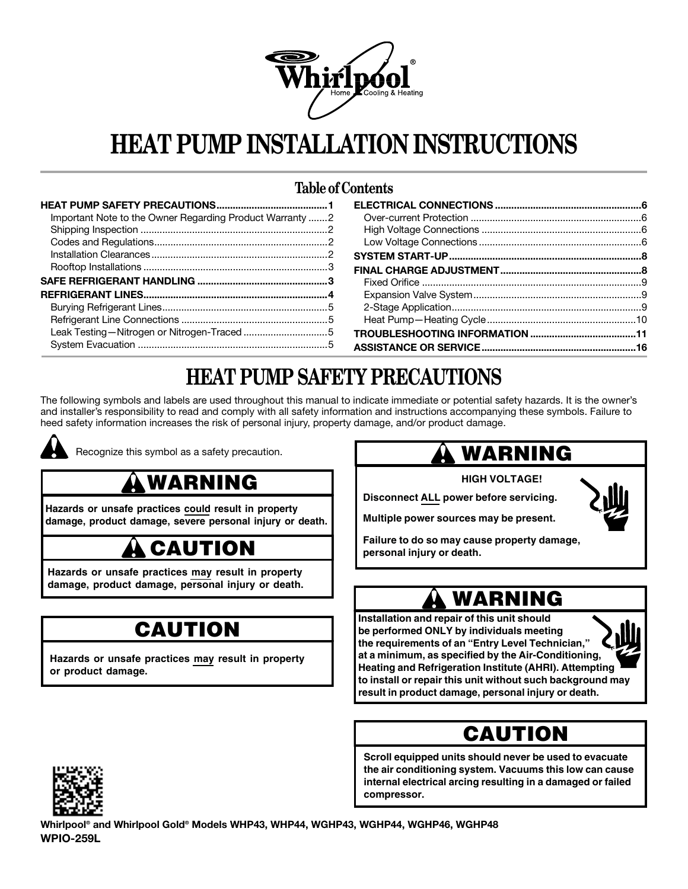

# **HEAT PUMP INSTALLATION INSTRUCTIONS**

### **Table of Contents**

| Important Note to the Owner Regarding Product Warranty 2 |  |
|----------------------------------------------------------|--|
|                                                          |  |
|                                                          |  |
|                                                          |  |
|                                                          |  |
|                                                          |  |
|                                                          |  |
|                                                          |  |
|                                                          |  |
|                                                          |  |
|                                                          |  |

## **HEAT PUMP SAFETY PRECAUTIONS**

The following symbols and labels are used throughout this manual to indicate immediate or potential safety hazards. It is the owner's and installer's responsibility to read and comply with all safety information and instructions accompanying these symbols. Failure to heed safety information increases the risk of personal injury, property damage, and/or product damage.



Recognize this symbol as a safety precaution.

## **WARNING**

Hazards or unsafe practices could result in property **damage, product damage, severe personal injury or death.** 

## **CAUTION**

**Hazards or unsafe practices may result in property damage, product damage, personal injury or death.** 

# **CAUTION**

**Hazards or unsafe practices may result in property or product damage.** 

## **WARNING**

**HIGH VOLTAGE!** 

**Disconnect ALL power before servicing.**

**Multiple power sources may be present.**

**Failure to do so may cause property damage, personal injury or death.**

## **WARNING**

**be performed ONLY by individuals meeting Installation and repair of this unit should the requirements of an "Entry Level Technician," at a minimum, as specified by the Air-Conditioning, Heating and Refrigeration Institute (AHRI). Attempting to install or repair this unit without such background may result in product damage, personal injury or death.**

### **CAUTION**

**Scron equipped units should never be used to evacuate<br>the air conditioning system. Vacuums this low can cause Scroll equipped units should never be used to evacuate internal electrical arcing resulting in a damaged or failed compressor.**



**Whirlpool® and Whirlpool Gold® Models WHP43, WHP44, WGHP43, WGHP44, WGHP46, WGHP48 WPIO-259L**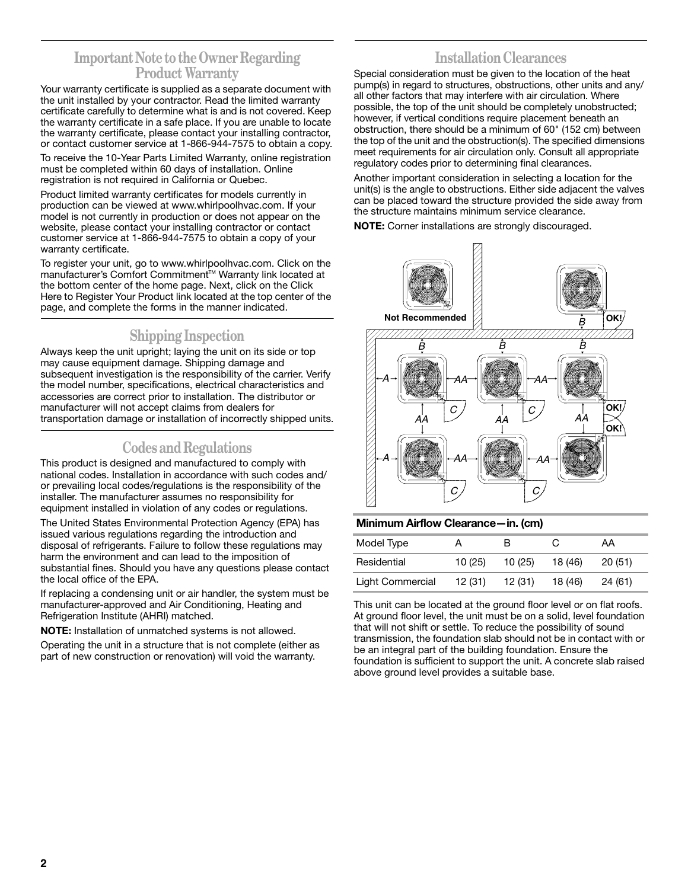### **Important Note to the Owner Regarding Product Warranty**

Your warranty certificate is supplied as a separate document with the unit installed by your contractor. Read the limited warranty certificate carefully to determine what is and is not covered. Keep the warranty certificate in a safe place. If you are unable to locate the warranty certificate, please contact your installing contractor, or contact customer service at 1-866-944-7575 to obtain a copy.

To receive the 10-Year Parts Limited Warranty, online registration must be completed within 60 days of installation. Online registration is not required in California or Quebec.

Product limited warranty certificates for models currently in production can be viewed at www.whirlpoolhvac.com. If your model is not currently in production or does not appear on the website, please contact your installing contractor or contact customer service at 1-866-944-7575 to obtain a copy of your warranty certificate.

To register your unit, go to www.whirlpoolhvac.com. Click on the manufacturer's Comfort Commitment™ Warranty link located at the bottom center of the home page. Next, click on the Click Here to Register Your Product link located at the top center of the page, and complete the forms in the manner indicated.

### **Shipping Inspection**

Always keep the unit upright; laying the unit on its side or top may cause equipment damage. Shipping damage and subsequent investigation is the responsibility of the carrier. Verify the model number, specifications, electrical characteristics and accessories are correct prior to installation. The distributor or manufacturer will not accept claims from dealers for transportation damage or installation of incorrectly shipped units.

### **Codes and Regulations**

This product is designed and manufactured to comply with national codes. Installation in accordance with such codes and/ or prevailing local codes/regulations is the responsibility of the installer. The manufacturer assumes no responsibility for equipment installed in violation of any codes or regulations.

The United States Environmental Protection Agency (EPA) has issued various regulations regarding the introduction and disposal of refrigerants. Failure to follow these regulations may harm the environment and can lead to the imposition of substantial fines. Should you have any questions please contact the local office of the EPA.

If replacing a condensing unit or air handler, the system must be manufacturer-approved and Air Conditioning, Heating and Refrigeration Institute (AHRI) matched.

**NOTE:** Installation of unmatched systems is not allowed.

Operating the unit in a structure that is not complete (either as part of new construction or renovation) will void the warranty.

### **Installation Clearances**

Special consideration must be given to the location of the heat pump(s) in regard to structures, obstructions, other units and any/ all other factors that may interfere with air circulation. Where possible, the top of the unit should be completely unobstructed; however, if vertical conditions require placement beneath an obstruction, there should be a minimum of 60" (152 cm) between the top of the unit and the obstruction(s). The specified dimensions meet requirements for air circulation only. Consult all appropriate regulatory codes prior to determining final clearances.

Another important consideration in selecting a location for the unit(s) is the angle to obstructions. Either side adjacent the valves can be placed toward the structure provided the side away from the structure maintains minimum service clearance.

**NOTE:** Corner installations are strongly discouraged.



#### **Minimum Airflow Clearance—in. (cm)**

| Model Type       |        | в      |         | AA      |
|------------------|--------|--------|---------|---------|
| Residential      | 10(25) | 10(25) | 18 (46) | 20(51)  |
| Light Commercial | 12(31) | 12(31) | 18 (46) | 24 (61) |

This unit can be located at the ground floor level or on flat roofs. At ground floor level, the unit must be on a solid, level foundation that will not shift or settle. To reduce the possibility of sound transmission, the foundation slab should not be in contact with or be an integral part of the building foundation. Ensure the foundation is sufficient to support the unit. A concrete slab raised above ground level provides a suitable base.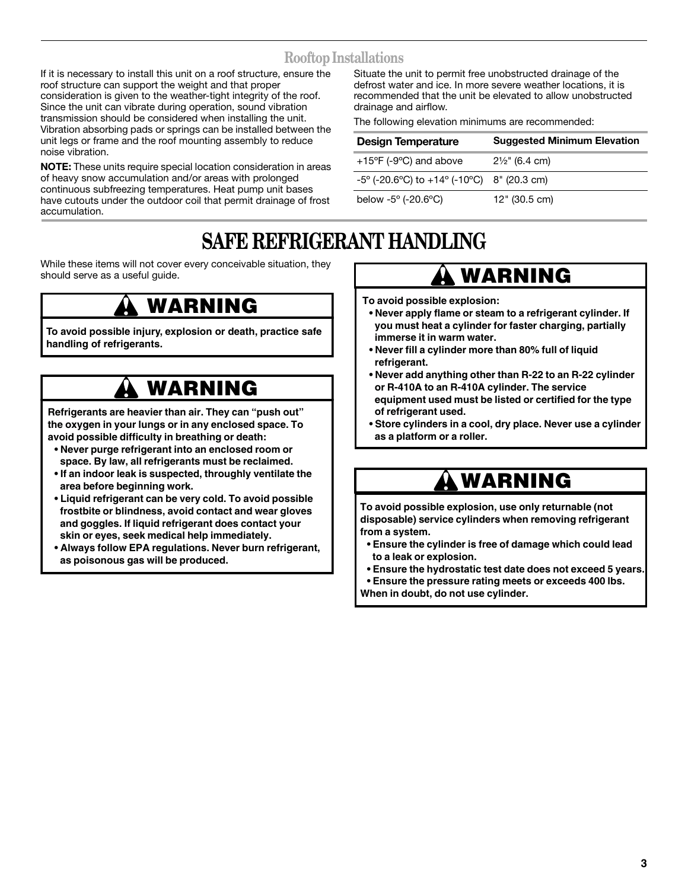### **Rooftop Installations**

If it is necessary to install this unit on a roof structure, ensure the roof structure can support the weight and that proper consideration is given to the weather-tight integrity of the roof. Since the unit can vibrate during operation, sound vibration transmission should be considered when installing the unit. Vibration absorbing pads or springs can be installed between the unit legs or frame and the roof mounting assembly to reduce noise vibration.

**NOTE:** These units require special location consideration in areas of heavy snow accumulation and/or areas with prolonged continuous subfreezing temperatures. Heat pump unit bases have cutouts under the outdoor coil that permit drainage of frost accumulation.

Situate the unit to permit free unobstructed drainage of the defrost water and ice. In more severe weather locations, it is recommended that the unit be elevated to allow unobstructed drainage and airflow.

The following elevation minimums are recommended:

| <b>Design Temperature</b>                           | <b>Suggested Minimum Elevation</b> |
|-----------------------------------------------------|------------------------------------|
| $+15^{\circ}$ F (-9 $^{\circ}$ C) and above         | $2\frac{1}{2}$ " (6.4 cm)          |
| $-5^{\circ}$ (-20.6°C) to +14° (-10°C) 8" (20.3 cm) |                                    |
| below $-5^{\circ}$ ( $-20.6^{\circ}$ C)             | $12"$ (30.5 cm)                    |

## **SAFE REFRIGERANT HANDLING**

While these items will not cover every conceivable situation, they should serve as a useful guide.

### Goodman 12 **WARNING**

**To avoid possible injury, explosion or death, practice safe handling of refrigerants.**

## **WARNING**

**Refrigerants are heavier than air. They can "push out" the oxygen in your lungs or in any enclosed space. To avoid possible difficulty in breathing or death:**

- space. By law, all refrigerants must be reclaimed. **• Never purge refrigerant into an enclosed room or**
- **If an indoor leak is suspected, throughly ventilate the area before beginning work.**
- **Liquid refrigerant can be very cold. To avoid possible frostbite or blindness, avoid contact and wear gloves and goggles. If liquid refrigerant does contact your skin or eyes, seek medical help immediately.**
- **Always follow EPA regulations. Never burn refrigerant, as poisonous gas will be produced.**

### **WARNING**

**To avoid possible explosion:**

- **Never apply flame or steam to a refrigerant cylinder. If you must heat a cylinder for faster charging, partially immerse it in warm water.**
- Never fill a cylinder more than 80% full of liquid **refrigerant.**
- **Never add anything other than R-22 to an R-22 cylinder or R-410A to an R-410A cylinder. The service equipment used must be listed or certified for the type of refrigerant used.**
- **Store cylinders in a cool, dry place. Never use a cylinder as a platform or a roller.**

## **WARNING**

Goodman 15 **disposable) service cylinders when removing refrigerant To avoid possible explosion, use only returnable (not from a system.**

- **Ensure the cylinder is free of damage which could lead to a leak or explosion.**
- **Ensure the hydrostatic test date does not exceed 5 years.**
- **Ensure the pressure rating meets or exceeds 400 lbs.**
- **When in doubt, do not use cylinder.**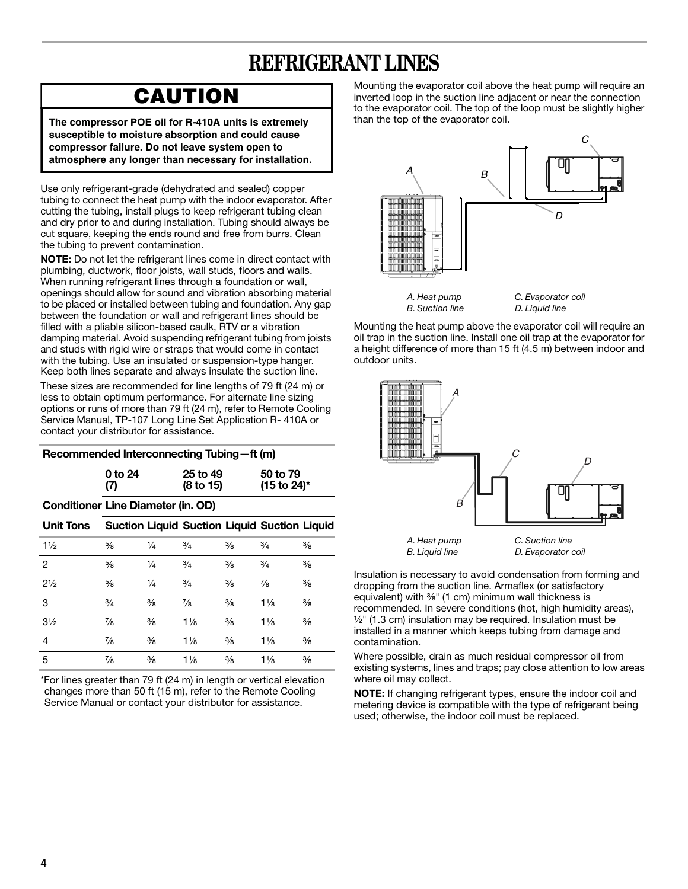## **REFRIGERANT LINES**

### **CAUTION**

The compressor POE oil for R-410A units is extremely **susceptible to moisture absorption and could cause compressor failure. Do not leave system open to atmosphere any longer than necessary for installation.**

Use only refrigerant-grade (dehydrated and sealed) copper tubing to connect the heat pump with the indoor evaporator. After cutting the tubing, install plugs to keep refrigerant tubing clean and dry prior to and during installation. Tubing should always be cut square, keeping the ends round and free from burrs. Clean the tubing to prevent contamination.

**NOTE:** Do not let the refrigerant lines come in direct contact with plumbing, ductwork, floor joists, wall studs, floors and walls. When running refrigerant lines through a foundation or wall, openings should allow for sound and vibration absorbing material to be placed or installed between tubing and foundation. Any gap between the foundation or wall and refrigerant lines should be filled with a pliable silicon-based caulk, RTV or a vibration damping material. Avoid suspending refrigerant tubing from joists and studs with rigid wire or straps that would come in contact with the tubing. Use an insulated or suspension-type hanger. Keep both lines separate and always insulate the suction line.

These sizes are recommended for line lengths of 79 ft (24 m) or less to obtain optimum performance. For alternate line sizing options or runs of more than 79 ft (24 m), refer to Remote Cooling Service Manual, TP-107 Long Line Set Application R- 410A or contact your distributor for assistance.

| Recommended Interconnecting Tubing-ft (m) |                                           |               |                                                     |               |                                     |               |
|-------------------------------------------|-------------------------------------------|---------------|-----------------------------------------------------|---------------|-------------------------------------|---------------|
|                                           | 0 to 24<br>(7)                            |               | 25 to 49<br>(8 to 15)                               |               | 50 to 79<br>$(15 \text{ to } 24)^*$ |               |
|                                           | <b>Conditioner Line Diameter (in. OD)</b> |               |                                                     |               |                                     |               |
| <b>Unit Tons</b>                          |                                           |               | <b>Suction Liquid Suction Liquid Suction Liquid</b> |               |                                     |               |
| $1\frac{1}{2}$                            | $\frac{5}{8}$                             | $\frac{1}{4}$ | $\frac{3}{4}$                                       | $\frac{3}{8}$ | $\frac{3}{4}$                       | $\frac{3}{8}$ |
| 2                                         | $\frac{5}{8}$                             | $\frac{1}{4}$ | $\frac{3}{4}$                                       | $\frac{3}{8}$ | $\frac{3}{4}$                       | $\frac{3}{8}$ |
| $2\frac{1}{2}$                            | $\frac{5}{8}$                             | $\frac{1}{4}$ | $\frac{3}{4}$                                       | $\frac{3}{8}$ | 7/8                                 | $\frac{3}{8}$ |
| 3                                         | $\frac{3}{4}$                             | $\frac{3}{8}$ | 7/8                                                 | $\frac{3}{8}$ | $1\frac{1}{8}$                      | $\frac{3}{8}$ |
| $3\frac{1}{2}$                            | $\frac{7}{8}$                             | $\frac{3}{8}$ | $1\frac{1}{8}$                                      | $\frac{3}{8}$ | $1\frac{1}{8}$                      | $\frac{3}{8}$ |
| 4                                         | 7∕8                                       | $\frac{3}{8}$ | $1\frac{1}{8}$                                      | $\frac{3}{8}$ | $1\frac{1}{8}$                      | $\frac{3}{8}$ |
| 5                                         | $\frac{7}{8}$                             | $\frac{3}{8}$ | $1\frac{1}{8}$                                      | $\frac{3}{8}$ | $1\frac{1}{8}$                      | $\frac{3}{8}$ |

\*For lines greater than 79 ft (24 m) in length or vertical elevation changes more than 50 ft (15 m), refer to the Remote Cooling Service Manual or contact your distributor for assistance.

Mounting the evaporator coil above the heat pump will require an inverted loop in the suction line adjacent or near the connection to the evaporator coil. The top of the loop must be slightly higher than the top of the evaporator coil.



Mounting the heat pump above the evaporator coil will require an oil trap in the suction line. Install one oil trap at the evaporator for a height difference of more than 15 ft (4.5 m) between indoor and outdoor units.



Insulation is necessary to avoid condensation from forming and dropping from the suction line. Armaflex (or satisfactory equivalent) with  $\frac{3}{8}$ " (1 cm) minimum wall thickness is recommended. In severe conditions (hot, high humidity areas),  $\frac{1}{2}$ " (1.3 cm) insulation may be required. Insulation must be installed in a manner which keeps tubing from damage and contamination.

Where possible, drain as much residual compressor oil from existing systems, lines and traps; pay close attention to low areas where oil may collect.

**NOTE:** If changing refrigerant types, ensure the indoor coil and metering device is compatible with the type of refrigerant being used; otherwise, the indoor coil must be replaced.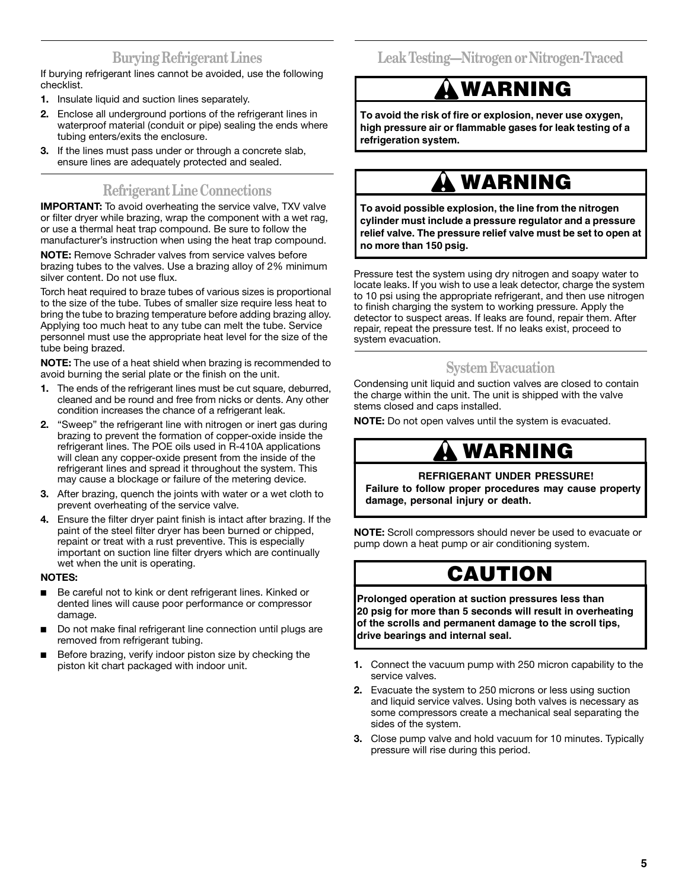### **Burying Refrigerant Lines**

If burying refrigerant lines cannot be avoided, use the following checklist.

- **1.** Insulate liquid and suction lines separately.
- **2.** Enclose all underground portions of the refrigerant lines in waterproof material (conduit or pipe) sealing the ends where tubing enters/exits the enclosure.
- **3.** If the lines must pass under or through a concrete slab, ensure lines are adequately protected and sealed.

### **Refrigerant Line Connections**

**IMPORTANT:** To avoid overheating the service valve, TXV valve or filter dryer while brazing, wrap the component with a wet rag, or use a thermal heat trap compound. Be sure to follow the manufacturer's instruction when using the heat trap compound.

**NOTE:** Remove Schrader valves from service valves before brazing tubes to the valves. Use a brazing alloy of 2% minimum silver content. Do not use flux.

Torch heat required to braze tubes of various sizes is proportional to the size of the tube. Tubes of smaller size require less heat to bring the tube to brazing temperature before adding brazing alloy. Applying too much heat to any tube can melt the tube. Service personnel must use the appropriate heat level for the size of the tube being brazed.

**NOTE:** The use of a heat shield when brazing is recommended to avoid burning the serial plate or the finish on the unit.

- **1.** The ends of the refrigerant lines must be cut square, deburred, cleaned and be round and free from nicks or dents. Any other condition increases the chance of a refrigerant leak.
- **2.** "Sweep" the refrigerant line with nitrogen or inert gas during brazing to prevent the formation of copper-oxide inside the refrigerant lines. The POE oils used in R-410A applications will clean any copper-oxide present from the inside of the refrigerant lines and spread it throughout the system. This may cause a blockage or failure of the metering device.
- **3.** After brazing, quench the joints with water or a wet cloth to prevent overheating of the service valve.
- **4.** Ensure the filter dryer paint finish is intact after brazing. If the paint of the steel filter dryer has been burned or chipped, repaint or treat with a rust preventive. This is especially important on suction line filter dryers which are continually wet when the unit is operating.

#### **NOTES:**

- Be careful not to kink or dent refrigerant lines. Kinked or dented lines will cause poor performance or compressor damage.
- Do not make final refrigerant line connection until plugs are removed from refrigerant tubing.
- Before brazing, verify indoor piston size by checking the piston kit chart packaged with indoor unit.

**Leak Testing—Nitrogen or Nitrogen-Traced**

## **WARNING**

**To avoid the risk of fire or explosion, never use oxygen, high pressure air or flammable gases for leak testing of a refrigeration system.**

## **WARNING**

To avoid possible explosion, the line from the nitrogen **cylinder must include a pressure regulator and a pressure relief valve. The pressure relief valve must be set to open at no more than 150 psig.**

Pressure test the system using dry nitrogen and soapy water to locate leaks. If you wish to use a leak detector, charge the system to 10 psi using the appropriate refrigerant, and then use nitrogen to finish charging the system to working pressure. Apply the detector to suspect areas. If leaks are found, repair them. After repair, repeat the pressure test. If no leaks exist, proceed to system evacuation.

### **System Evacuation**

Condensing unit liquid and suction valves are closed to contain the charge within the unit. The unit is shipped with the valve stems closed and caps installed.

**NOTE:** Do not open valves until the system is evacuated.

## **WARNING**

#### **REFRIGERANT UNDER PRESSURE!**

**Failure to follow proper procedures may cause property damage, personal injury or death.**

**NOTE:** Scroll compressors should never be used to evacuate or pump down a heat pump or air conditioning system.

## **CAUTION**

**Prolonged operation at suction pressures less than 20 psig for more than 5 seconds will result in overheating of the scrolls and permanent damage to the scroll tips, drive bearings and internal seal.**

- **1.** Connect the vacuum pump with 250 micron capability to the service valves.
- **2.** Evacuate the system to 250 microns or less using suction and liquid service valves. Using both valves is necessary as some compressors create a mechanical seal separating the sides of the system.
- **3.** Close pump valve and hold vacuum for 10 minutes. Typically pressure will rise during this period.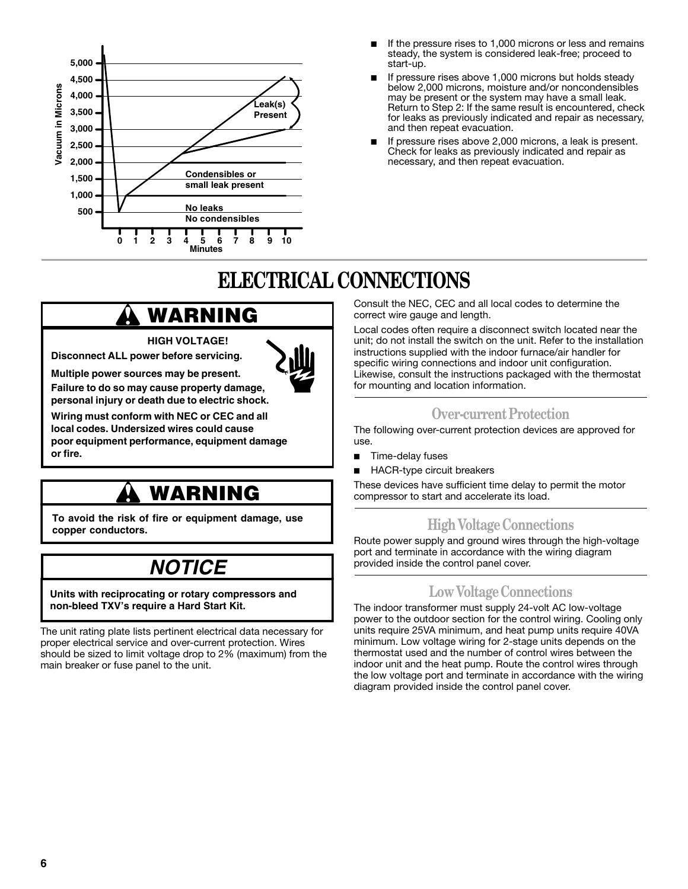

- If the pressure rises to 1,000 microns or less and remains steady, the system is considered leak-free; proceed to start-up.
- If pressure rises above 1,000 microns but holds steady below 2,000 microns, moisture and/or noncondensibles may be present or the system may have a small leak. Return to Step 2: If the same result is encountered, check for leaks as previously indicated and repair as necessary, and then repeat evacuation.
- If pressure rises above 2,000 microns, a leak is present. Check for leaks as previously indicated and repair as necessary, and then repeat evacuation.

# **ELECTRICAL CONNECTIONS**

## **WARNING**

**HIGH VOLTAGE!**

Goodman 21 **Disconnect ALL power before servicing.**



**personal injury or death due to electric shock.**

**Wiring must conform with NEC or CEC and all local codes. Undersized wires could cause poor equipment performance, equipment damage or fire.**

# <u>WARNING</u>

**To avoid the risk of fire or equipment damage, use copper conductors.**

### Goodman 23 **NOTICE**

**Units with reciprocating or rotary compressors and non-bleed TXV's require a Hard Start Kit.**

The unit rating plate lists pertinent electrical data necessary for proper electrical service and over-current protection. Wires should be sized to limit voltage drop to 2% (maximum) from the main breaker or fuse panel to the unit.

Consult the NEC, CEC and all local codes to determine the correct wire gauge and length.

Local codes often require a disconnect switch located near the unit; do not install the switch on the unit. Refer to the installation instructions supplied with the indoor furnace/air handler for specific wiring connections and indoor unit configuration. Likewise, consult the instructions packaged with the thermostat for mounting and location information.

### **Over-current Protection**

The following over-current protection devices are approved for use.

- Time-delay fuses
- HACR-type circuit breakers

These devices have sufficient time delay to permit the motor compressor to start and accelerate its load.

### **High Voltage Connections**

Route power supply and ground wires through the high-voltage port and terminate in accordance with the wiring diagram provided inside the control panel cover.

### **Low Voltage Connections**

The indoor transformer must supply 24-volt AC low-voltage power to the outdoor section for the control wiring. Cooling only units require 25VA minimum, and heat pump units require 40VA minimum. Low voltage wiring for 2-stage units depends on the thermostat used and the number of control wires between the indoor unit and the heat pump. Route the control wires through the low voltage port and terminate in accordance with the wiring diagram provided inside the control panel cover.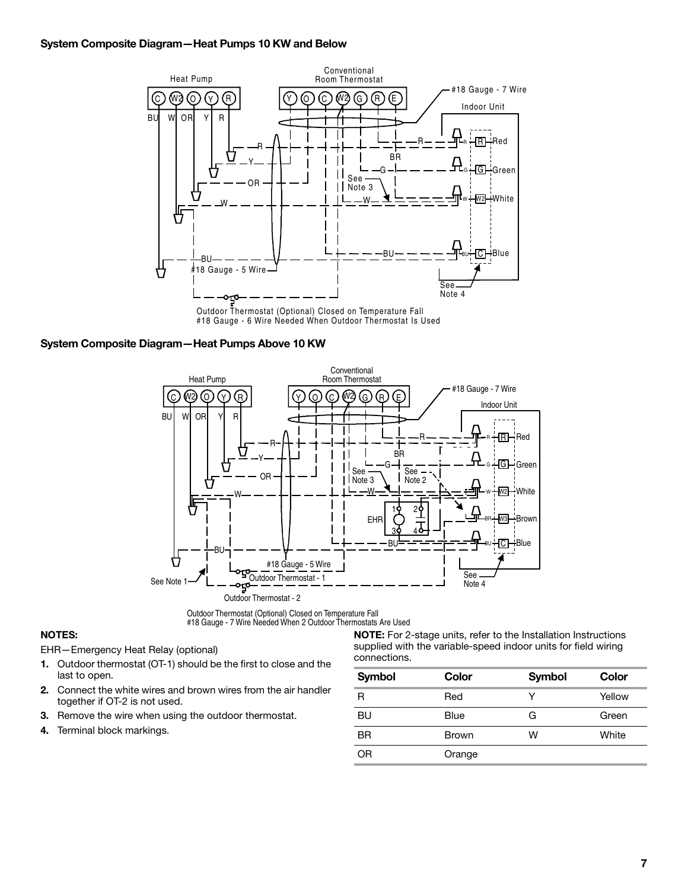#### **System Composite Diagram—Heat Pumps 10 KW and Below**



Outdoor Thermostat (Optional) Closed on Temperature Fall #18 Gauge - 6 Wire Needed When Outdoor Thermostat Is Used

#### **System Composite Diagram—Heat Pumps Above 10 KW**



Outdoor Thermostat (Optional) Closed on Temperature Fall #18 Gauge - 7 Wire Needed When 2 Outdoor Thermostats Are Used

#### **NOTES:**

EHR—Emergency Heat Relay (optional)

- **1.** Outdoor thermostat (OT-1) should be the first to close and the last to open.
- **2.** Connect the white wires and brown wires from the air handler together if OT-2 is not used.
- **3.** Remove the wire when using the outdoor thermostat.
- **4.** Terminal block markings.

**NOTE:** For 2-stage units, refer to the Installation Instructions supplied with the variable-speed indoor units for field wiring connections.

| <b>Symbol</b> | Color        | <b>Symbol</b> | Color  |
|---------------|--------------|---------------|--------|
| R             | Red          | v             | Yellow |
| BU            | Blue         | G             | Green  |
| <b>BR</b>     | <b>Brown</b> | W             | White  |
| ΟR            | Orange       |               |        |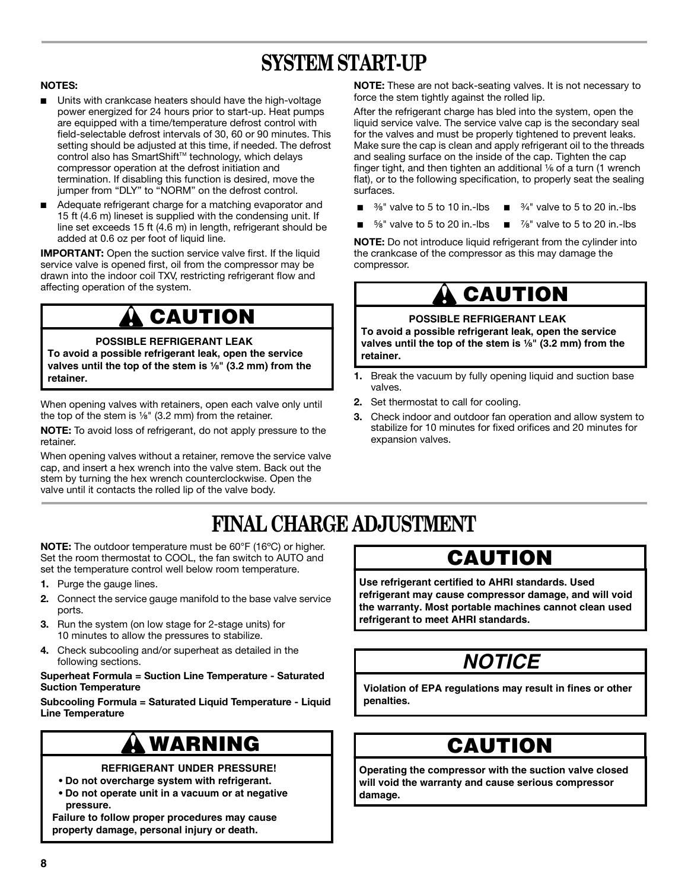## **SYSTEM START-UP**

#### **NOTES:**

- Units with crankcase heaters should have the high-voltage power energized for 24 hours prior to start-up. Heat pumps are equipped with a time/temperature defrost control with field-selectable defrost intervals of 30, 60 or 90 minutes. This setting should be adjusted at this time, if needed. The defrost control also has SmartShift™ technology, which delays compressor operation at the defrost initiation and termination. If disabling this function is desired, move the jumper from "DLY" to "NORM" on the defrost control.
- Adequate refrigerant charge for a matching evaporator and 15 ft (4.6 m) lineset is supplied with the condensing unit. If line set exceeds 15 ft (4.6 m) in length, refrigerant should be added at 0.6 oz per foot of liquid line.

**IMPORTANT:** Open the suction service valve first. If the liquid service valve is opened first, oil from the compressor may be drawn into the indoor coil TXV, restricting refrigerant flow and affecting operation of the system.

## **CAUTION**

#### **POSSIBLE REFRIGERANT LEAK**

**To avoid a possible refrigerant leak, open the service valves until the top of the stem is ¹⁄₈" (3.2 mm) from the retainer.**

When opening valves with retainers, open each valve only until the top of the stem is  $\frac{1}{8}$ " (3.2 mm) from the retainer.

**NOTE:** To avoid loss of refrigerant, do not apply pressure to the retainer.

When opening valves without a retainer, remove the service valve cap, and insert a hex wrench into the valve stem. Back out the stem by turning the hex wrench counterclockwise. Open the valve until it contacts the rolled lip of the valve body.

**NOTE:** These are not back-seating valves. It is not necessary to force the stem tightly against the rolled lip.

After the refrigerant charge has bled into the system, open the liquid service valve. The service valve cap is the secondary seal for the valves and must be properly tightened to prevent leaks. Make sure the cap is clean and apply refrigerant oil to the threads and sealing surface on the inside of the cap. Tighten the cap finger tight, and then tighten an additional  $\frac{1}{6}$  of a turn (1 wrench flat), or to the following specification, to properly seat the sealing surfaces.

- $\blacksquare$   $\frac{3}{8}$ " valve to 5 to 10 in.-lbs  $\blacksquare$   $\frac{3}{4}$ " valve to 5 to 20 in.-lbs
- $\frac{5}{8}$ " valve to 5 to 20 in.-lbs  $\frac{7}{8}$ " valve to 5 to 20 in.-lbs

**NOTE:** Do not introduce liquid refrigerant from the cylinder into the crankcase of the compressor as this may damage the compressor.

## **CAUTION**

#### **POSSIBLE REFRIGERANT LEAK**

**To avoid a possible refrigerant leak, open the service valves until the top of the stem is**  $\frac{1}{6}$  **(3.2 mm) from the retainer.**

- **1.** Break the vacuum by fully opening liquid and suction base valves.
- **2.** Set thermostat to call for cooling.
- **3.** Check indoor and outdoor fan operation and allow system to stabilize for 10 minutes for fixed orifices and 20 minutes for expansion valves.

## **FINAL CHARGE ADJUSTMENT**

**NOTE:** The outdoor temperature must be 60°F (16ºC) or higher. Set the room thermostat to COOL, the fan switch to AUTO and set the temperature control well below room temperature.

- **1.** Purge the gauge lines.
- **2.** Connect the service gauge manifold to the base valve service ports.
- **3.** Run the system (on low stage for 2-stage units) for 10 minutes to allow the pressures to stabilize.
- **4.** Check subcooling and/or superheat as detailed in the following sections.

#### **Superheat Formula = Suction Line Temperature - Saturated Suction Temperature**

**Subcooling Formula = Saturated Liquid Temperature - Liquid Line Temperature**

## **WARNING**

#### **REFRIGERANT UNDER PRESSURE!**

- **Do not overcharge system with refrigerant.**
- **Do not operate unit in a vacuum or at negative pressure.**

**Failure to follow proper procedures may cause property damage, personal injury or death.**

### **CAUTION**

**Use refrigerant certified to AHRI standards. Used refrigerant may cause compressor damage, and will void the warranty. Most portable machines cannot clean used refrigerant to meet AHRI standards.**

# **NOTICE**

**Violation of EPA regulations may result in fines or other penalties.**

### **CAUTION**

**Operating the compressor with the suction valve closed will void the warranty and cause serious compressor damage.**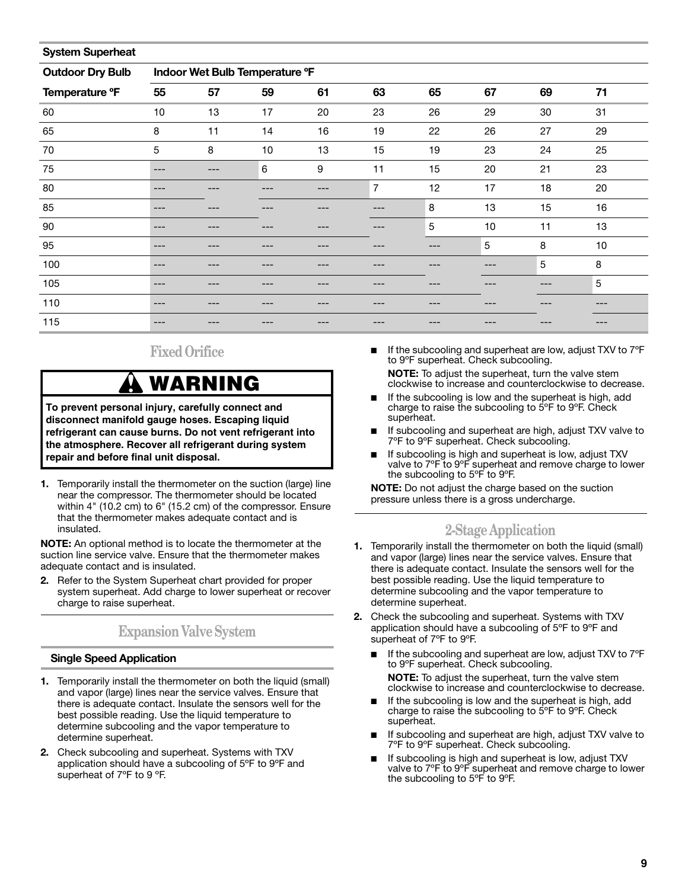| <b>System Superheat</b> |                                |     |     |    |                |            |     |    |    |
|-------------------------|--------------------------------|-----|-----|----|----------------|------------|-----|----|----|
| <b>Outdoor Dry Bulb</b> | Indoor Wet Bulb Temperature °F |     |     |    |                |            |     |    |    |
| Temperature °F          | 55                             | 57  | 59  | 61 | 63             | 65         | 67  | 69 | 71 |
| 60                      | 10                             | 13  | 17  | 20 | 23             | 26         | 29  | 30 | 31 |
| 65                      | 8                              | 11  | 14  | 16 | 19             | 22         | 26  | 27 | 29 |
| 70                      | 5                              | 8   | 10  | 13 | 15             | 19         | 23  | 24 | 25 |
| 75                      | ---                            | --- | 6   | 9  | 11             | 15         | 20  | 21 | 23 |
| 80                      | ---                            | --  |     |    | $\overline{7}$ | 12         | 17  | 18 | 20 |
| 85                      | ---                            | --- |     |    |                | 8          | 13  | 15 | 16 |
| 90                      | ---                            | --- |     |    |                | $\sqrt{5}$ | 10  | 11 | 13 |
| 95                      | ---                            | --- |     |    |                | ---        | 5   | 8  | 10 |
| 100                     | ---                            | --- |     |    |                | ---        | --- | 5  | 8  |
| 105                     | ---                            | --- |     |    |                | ---        |     |    | 5  |
| 110                     | ---                            | --- | --- |    |                | ---        | --  |    |    |
| 115                     | ---                            |     |     |    |                |            |     |    |    |

### **Fixed Orifice**

## **WARNING**

To prevent personal injury, carefully connect and<br>disconnect manifold gauge hoses. Escaping liquid **refrigerant can cause burns. Do not vent refrigerant into the atmosphere. Recover all refrigerant during system repair and before final unit disposal.**

**1.** Temporarily install the thermometer on the suction (large) line near the compressor. The thermometer should be located within 4" (10.2 cm) to 6" (15.2 cm) of the compressor. Ensure that the thermometer makes adequate contact and is insulated.

**NOTE:** An optional method is to locate the thermometer at the suction line service valve. Ensure that the thermometer makes adequate contact and is insulated.

**2.** Refer to the System Superheat chart provided for proper system superheat. Add charge to lower superheat or recover charge to raise superheat.

### **Expansion Valve System**

#### **Single Speed Application**

- **1.** Temporarily install the thermometer on both the liquid (small) and vapor (large) lines near the service valves. Ensure that there is adequate contact. Insulate the sensors well for the best possible reading. Use the liquid temperature to determine subcooling and the vapor temperature to determine superheat.
- **2.** Check subcooling and superheat. Systems with TXV application should have a subcooling of 5ºF to 9ºF and superheat of 7°F to 9 °F.

■ If the subcooling and superheat are low, adjust TXV to 7°F to 9ºF superheat. Check subcooling.

**NOTE:** To adjust the superheat, turn the valve stem clockwise to increase and counterclockwise to decrease.

- If the subcooling is low and the superheat is high, add charge to raise the subcooling to 5ºF to 9ºF. Check superheat.
- If subcooling and superheat are high, adjust TXV valve to 7ºF to 9ºF superheat. Check subcooling.
- If subcooling is high and superheat is low, adjust TXV valve to 7ºF to 9ºF superheat and remove charge to lower the subcooling to 5ºF to 9ºF.

**NOTE:** Do not adjust the charge based on the suction pressure unless there is a gross undercharge.

### **2-Stage Application**

- **1.** Temporarily install the thermometer on both the liquid (small) and vapor (large) lines near the service valves. Ensure that there is adequate contact. Insulate the sensors well for the best possible reading. Use the liquid temperature to determine subcooling and the vapor temperature to determine superheat.
- **2.** Check the subcooling and superheat. Systems with TXV application should have a subcooling of 5ºF to 9ºF and superheat of 7ºF to 9ºF.
	- If the subcooling and superheat are low, adjust TXV to 7°F to 9ºF superheat. Check subcooling. **NOTE:** To adjust the superheat, turn the valve stem clockwise to increase and counterclockwise to decrease.
	- If the subcooling is low and the superheat is high, add charge to raise the subcooling to 5ºF to 9ºF. Check superheat.
	- If subcooling and superheat are high, adjust TXV valve to 7ºF to 9ºF superheat. Check subcooling.
	- If subcooling is high and superheat is low, adjust TXV valve to 7°F to 9°F superheat and remove charge to lower the subcooling to 5ºF to 9ºF.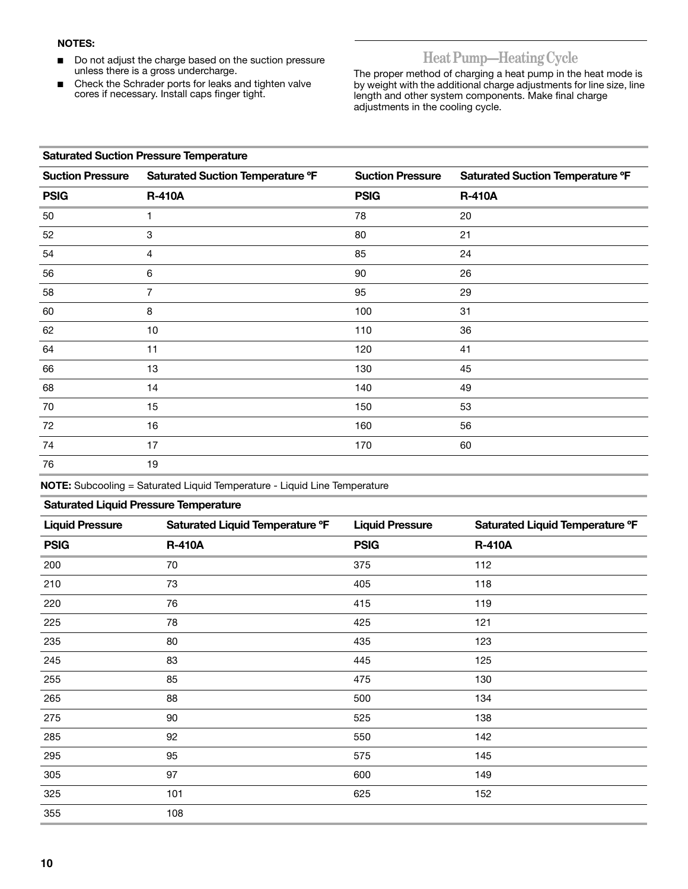#### **NOTES:**

- Do not adjust the charge based on the suction pressure unless there is a gross undercharge.
- Check the Schrader ports for leaks and tighten valve cores if necessary. Install caps finger tight.

### **Heat Pump—Heating Cycle**

The proper method of charging a heat pump in the heat mode is by weight with the additional charge adjustments for line size, line length and other system components. Make final charge adjustments in the cooling cycle.

#### **Saturated Suction Pressure Temperature**

| <b>Suction Pressure</b> | Saturated Suction Temperature °F | <b>Suction Pressure</b> | Saturated Suction Temperature °F |
|-------------------------|----------------------------------|-------------------------|----------------------------------|
| <b>PSIG</b>             | <b>R-410A</b>                    | <b>PSIG</b>             | <b>R-410A</b>                    |
| 50                      |                                  | 78                      | 20                               |
| 52                      | 3                                | 80                      | 21                               |
| 54                      | 4                                | 85                      | 24                               |
| 56                      | 6                                | 90                      | 26                               |
| 58                      | $\overline{7}$                   | 95                      | 29                               |
| 60                      | 8                                | 100                     | 31                               |
| 62                      | 10                               | 110                     | 36                               |
| 64                      | 11                               | 120                     | 41                               |
| 66                      | 13                               | 130                     | 45                               |
| 68                      | 14                               | 140                     | 49                               |
| 70                      | 15                               | 150                     | 53                               |
| 72                      | 16                               | 160                     | 56                               |
| 74                      | 17                               | 170                     | 60                               |
| 76                      | 19                               |                         |                                  |

**NOTE:** Subcooling = Saturated Liquid Temperature - Liquid Line Temperature

#### **Saturated Liquid Pressure Temperature**

| <b>Liquid Pressure</b> | Saturated Liquid Temperature °F | <b>Liquid Pressure</b> | Saturated Liquid Temperature °F |
|------------------------|---------------------------------|------------------------|---------------------------------|
| <b>PSIG</b>            | <b>R-410A</b>                   | <b>PSIG</b>            | <b>R-410A</b>                   |
| 200                    | 70                              | 375                    | 112                             |
| 210                    | 73                              | 405                    | 118                             |
| 220                    | 76                              | 415                    | 119                             |
| 225                    | 78                              | 425                    | 121                             |
| 235                    | 80                              | 435                    | 123                             |
| 245                    | 83                              | 445                    | 125                             |
| 255                    | 85                              | 475                    | 130                             |
| 265                    | 88                              | 500                    | 134                             |
| 275                    | 90                              | 525                    | 138                             |
| 285                    | 92                              | 550                    | 142                             |
| 295                    | 95                              | 575                    | 145                             |
| 305                    | 97                              | 600                    | 149                             |
| 325                    | 101                             | 625                    | 152                             |
| 355                    | 108                             |                        |                                 |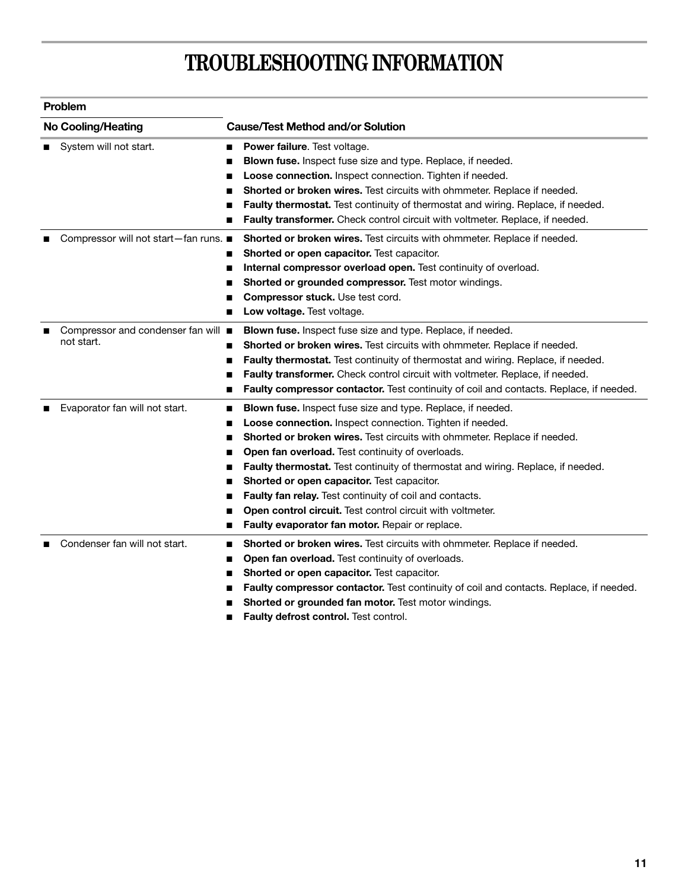## **TROUBLESHOOTING INFORMATION**

| <b>No Cooling/Heating</b>             | <b>Cause/Test Method and/or Solution</b>                                                    |
|---------------------------------------|---------------------------------------------------------------------------------------------|
| System will not start.                | Power failure. Test voltage.<br>■                                                           |
|                                       | Blown fuse. Inspect fuse size and type. Replace, if needed.                                 |
|                                       | Loose connection. Inspect connection. Tighten if needed.<br>■                               |
|                                       | Shorted or broken wires. Test circuits with ohmmeter. Replace if needed.<br>∎               |
|                                       | Faulty thermostat. Test continuity of thermostat and wiring. Replace, if needed.<br>■       |
|                                       | Faulty transformer. Check control circuit with voltmeter. Replace, if needed.               |
| Compressor will not start-fan runs. ■ | Shorted or broken wires. Test circuits with ohmmeter. Replace if needed.                    |
|                                       | Shorted or open capacitor. Test capacitor.<br>∎                                             |
|                                       | Internal compressor overload open. Test continuity of overload.<br>ш                        |
|                                       | Shorted or grounded compressor. Test motor windings.                                        |
|                                       | Compressor stuck. Use test cord.                                                            |
|                                       | Low voltage. Test voltage.<br>■                                                             |
| Compressor and condenser fan will ■   | <b>Blown fuse.</b> Inspect fuse size and type. Replace, if needed.                          |
| not start.                            | Shorted or broken wires. Test circuits with ohmmeter. Replace if needed.<br>■               |
|                                       | Faulty thermostat. Test continuity of thermostat and wiring. Replace, if needed.<br>■       |
|                                       | Faulty transformer. Check control circuit with voltmeter. Replace, if needed.               |
|                                       | Faulty compressor contactor. Test continuity of coil and contacts. Replace, if needed.<br>■ |
| Evaporator fan will not start.        | Blown fuse. Inspect fuse size and type. Replace, if needed.<br>■                            |
|                                       | Loose connection. Inspect connection. Tighten if needed.<br>■                               |
|                                       | Shorted or broken wires. Test circuits with ohmmeter. Replace if needed.<br>∎               |
|                                       | Open fan overload. Test continuity of overloads.<br>■                                       |
|                                       | Faulty thermostat. Test continuity of thermostat and wiring. Replace, if needed.            |
|                                       | Shorted or open capacitor. Test capacitor.                                                  |
|                                       | Faulty fan relay. Test continuity of coil and contacts.                                     |
|                                       | Open control circuit. Test control circuit with voltmeter.                                  |
|                                       | Faulty evaporator fan motor. Repair or replace.<br>■                                        |
| Condenser fan will not start.         | Shorted or broken wires. Test circuits with ohmmeter. Replace if needed.<br>п               |
|                                       | Open fan overload. Test continuity of overloads.<br>■                                       |
|                                       | Shorted or open capacitor. Test capacitor.<br>■                                             |
|                                       | Faulty compressor contactor. Test continuity of coil and contacts. Replace, if needed.      |
|                                       | Shorted or grounded fan motor. Test motor windings.                                         |
|                                       |                                                                                             |

■ **Faulty defrost control.** Test control.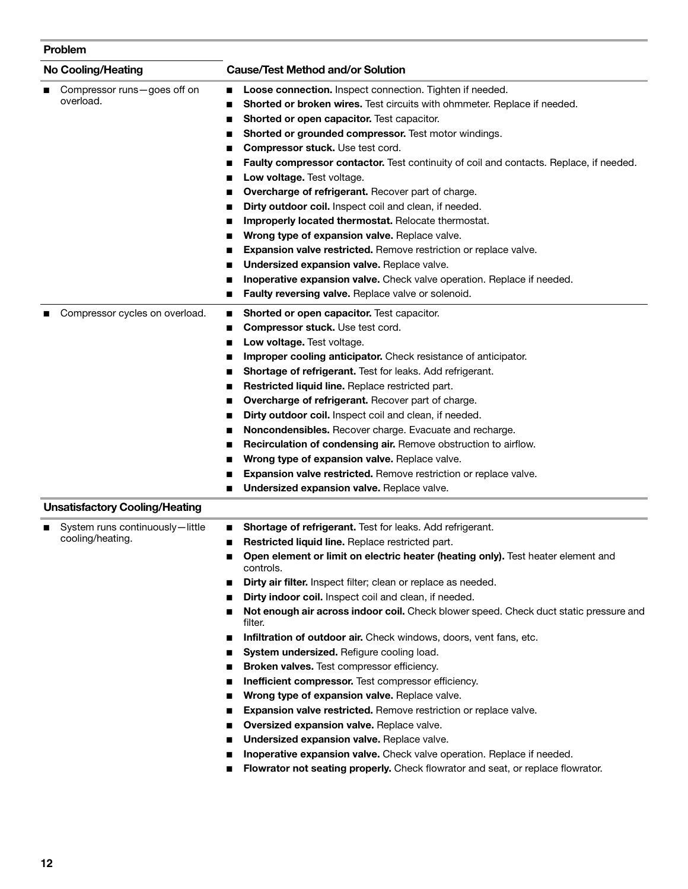| Problem                                             |                                                                                                                                                                                                                                                                                                                                                                                                                                                                                                                                                                                                                                                                                                                                                                                                                                                                                                                                                                                                                                                                         |
|-----------------------------------------------------|-------------------------------------------------------------------------------------------------------------------------------------------------------------------------------------------------------------------------------------------------------------------------------------------------------------------------------------------------------------------------------------------------------------------------------------------------------------------------------------------------------------------------------------------------------------------------------------------------------------------------------------------------------------------------------------------------------------------------------------------------------------------------------------------------------------------------------------------------------------------------------------------------------------------------------------------------------------------------------------------------------------------------------------------------------------------------|
| <b>No Cooling/Heating</b>                           | <b>Cause/Test Method and/or Solution</b>                                                                                                                                                                                                                                                                                                                                                                                                                                                                                                                                                                                                                                                                                                                                                                                                                                                                                                                                                                                                                                |
| Compressor runs-goes off on<br>overload.            | Loose connection. Inspect connection. Tighten if needed.<br>■<br>Shorted or broken wires. Test circuits with ohmmeter. Replace if needed.<br>Shorted or open capacitor. Test capacitor.<br>Shorted or grounded compressor. Test motor windings.<br>Compressor stuck. Use test cord.<br>■<br>Faulty compressor contactor. Test continuity of coil and contacts. Replace, if needed.<br>■<br>Low voltage. Test voltage.<br>Overcharge of refrigerant. Recover part of charge.<br>Dirty outdoor coil. Inspect coil and clean, if needed.<br>Improperly located thermostat. Relocate thermostat.<br>■<br>Wrong type of expansion valve. Replace valve.<br>■<br>Expansion valve restricted. Remove restriction or replace valve.<br>■<br>Undersized expansion valve. Replace valve.<br>Inoperative expansion valve. Check valve operation. Replace if needed.<br>Faulty reversing valve. Replace valve or solenoid.                                                                                                                                                          |
| Compressor cycles on overload.                      | Shorted or open capacitor. Test capacitor.<br>■<br><b>Compressor stuck.</b> Use test cord.<br>Low voltage. Test voltage.<br>Improper cooling anticipator. Check resistance of anticipator.<br>■<br>Shortage of refrigerant. Test for leaks. Add refrigerant.<br>■<br>Restricted liquid line. Replace restricted part.<br>Overcharge of refrigerant. Recover part of charge.<br>Dirty outdoor coil. Inspect coil and clean, if needed.<br>Noncondensibles. Recover charge. Evacuate and recharge.<br>■<br>Recirculation of condensing air. Remove obstruction to airflow.<br>■<br>Wrong type of expansion valve. Replace valve.<br>■<br>Expansion valve restricted. Remove restriction or replace valve.<br>Undersized expansion valve. Replace valve.                                                                                                                                                                                                                                                                                                                   |
| <b>Unsatisfactory Cooling/Heating</b>               |                                                                                                                                                                                                                                                                                                                                                                                                                                                                                                                                                                                                                                                                                                                                                                                                                                                                                                                                                                                                                                                                         |
| System runs continuously-little<br>cooling/heating. | Shortage of refrigerant. Test for leaks. Add refrigerant.<br><b>Restricted liquid line.</b> Replace restricted part.<br>Open element or limit on electric heater (heating only). Test heater element and<br>controls.<br>Dirty air filter. Inspect filter; clean or replace as needed.<br>Dirty indoor coil. Inspect coil and clean, if needed.<br>Not enough air across indoor coil. Check blower speed. Check duct static pressure and<br>■<br>filter.<br>Infiltration of outdoor air. Check windows, doors, vent fans, etc.<br>System undersized. Refigure cooling load.<br>Broken valves. Test compressor efficiency.<br>■<br>Inefficient compressor. Test compressor efficiency.<br>■<br>Wrong type of expansion valve. Replace valve.<br>Expansion valve restricted. Remove restriction or replace valve.<br>Oversized expansion valve. Replace valve.<br>Undersized expansion valve. Replace valve.<br>Inoperative expansion valve. Check valve operation. Replace if needed.<br>Flowrator not seating properly. Check flowrator and seat, or replace flowrator. |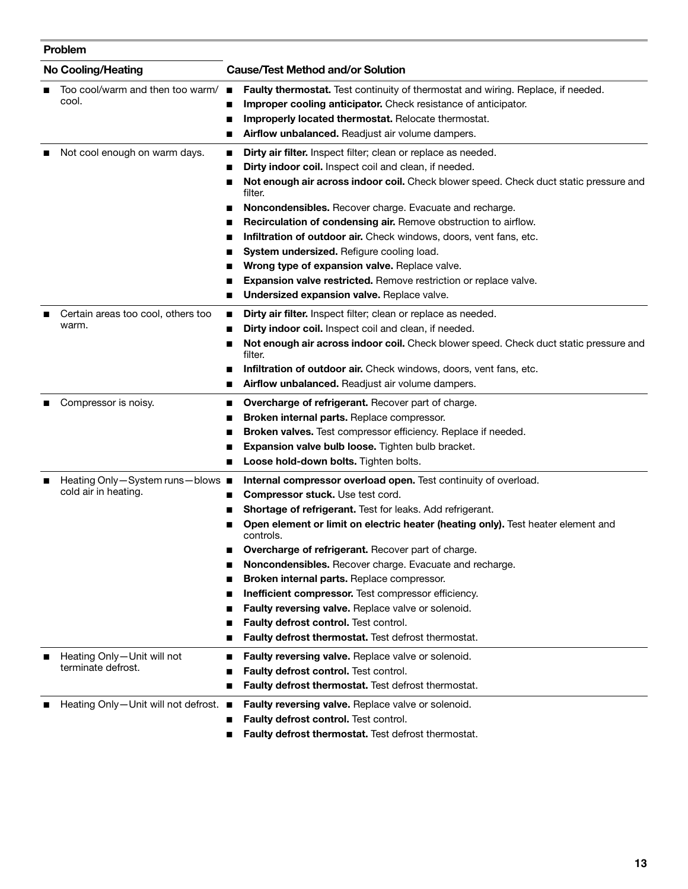#### **Problem**

| <b>No Cooling/Heating</b>                                | <b>Cause/Test Method and/or Solution</b>                                                                                                                                                                                                                                                                                                                                                                                                                                                                                                                                                                                                                               |
|----------------------------------------------------------|------------------------------------------------------------------------------------------------------------------------------------------------------------------------------------------------------------------------------------------------------------------------------------------------------------------------------------------------------------------------------------------------------------------------------------------------------------------------------------------------------------------------------------------------------------------------------------------------------------------------------------------------------------------------|
| Too cool/warm and then too warm/<br>cool.                | Faulty thermostat. Test continuity of thermostat and wiring. Replace, if needed.<br>п<br>Improper cooling anticipator. Check resistance of anticipator.<br>Improperly located thermostat. Relocate thermostat.<br>Airflow unbalanced. Readjust air volume dampers.                                                                                                                                                                                                                                                                                                                                                                                                     |
| Not cool enough on warm days.                            | Dirty air filter. Inspect filter; clean or replace as needed.<br>п<br>Dirty indoor coil. Inspect coil and clean, if needed.<br>Not enough air across indoor coil. Check blower speed. Check duct static pressure and<br>■<br>filter.<br>Noncondensibles. Recover charge. Evacuate and recharge.<br>Recirculation of condensing air. Remove obstruction to airflow.<br>п                                                                                                                                                                                                                                                                                                |
|                                                          | Infiltration of outdoor air. Check windows, doors, vent fans, etc.<br>п<br>System undersized. Refigure cooling load.<br>■<br>Wrong type of expansion valve. Replace valve.<br>Expansion valve restricted. Remove restriction or replace valve.<br>Undersized expansion valve. Replace valve.                                                                                                                                                                                                                                                                                                                                                                           |
| Certain areas too cool, others too<br>warm.              | Dirty air filter. Inspect filter; clean or replace as needed.<br>п<br>Dirty indoor coil. Inspect coil and clean, if needed.<br>п<br>Not enough air across indoor coil. Check blower speed. Check duct static pressure and<br>п<br>filter.<br>Infiltration of outdoor air. Check windows, doors, vent fans, etc.<br>Airflow unbalanced. Readjust air volume dampers.<br>■                                                                                                                                                                                                                                                                                               |
| Compressor is noisy.                                     | Overcharge of refrigerant. Recover part of charge.<br>п<br>Broken internal parts. Replace compressor.<br>Broken valves. Test compressor efficiency. Replace if needed.<br>п<br>Expansion valve bulb loose. Tighten bulb bracket.<br>Loose hold-down bolts. Tighten bolts.<br>■                                                                                                                                                                                                                                                                                                                                                                                         |
| Heating Only-System runs-blows ■<br>cold air in heating. | Internal compressor overload open. Test continuity of overload.<br>Compressor stuck. Use test cord.<br>■<br>Shortage of refrigerant. Test for leaks. Add refrigerant.<br>Open element or limit on electric heater (heating only). Test heater element and<br>controls.<br>Overcharge of refrigerant. Recover part of charge.<br>Noncondensibles. Recover charge. Evacuate and recharge.<br>Broken internal parts. Replace compressor.<br>п<br>Inefficient compressor. Test compressor efficiency.<br>п<br>Faulty reversing valve. Replace valve or solenoid.<br>п<br>Faulty defrost control. Test control.<br>■<br>Faulty defrost thermostat. Test defrost thermostat. |
| Heating Only-Unit will not<br>terminate defrost.         | Faulty reversing valve. Replace valve or solenoid.<br>■<br>Faulty defrost control. Test control.<br>Faulty defrost thermostat. Test defrost thermostat.<br>п                                                                                                                                                                                                                                                                                                                                                                                                                                                                                                           |
| Heating Only-Unit will not defrost. ■                    | Faulty reversing valve. Replace valve or solenoid.<br>Faulty defrost control. Test control.<br>Equity defrest thermestat. Test defrest thermestat                                                                                                                                                                                                                                                                                                                                                                                                                                                                                                                      |

**Faulty defrost thermostat.** Test defrost thermostat.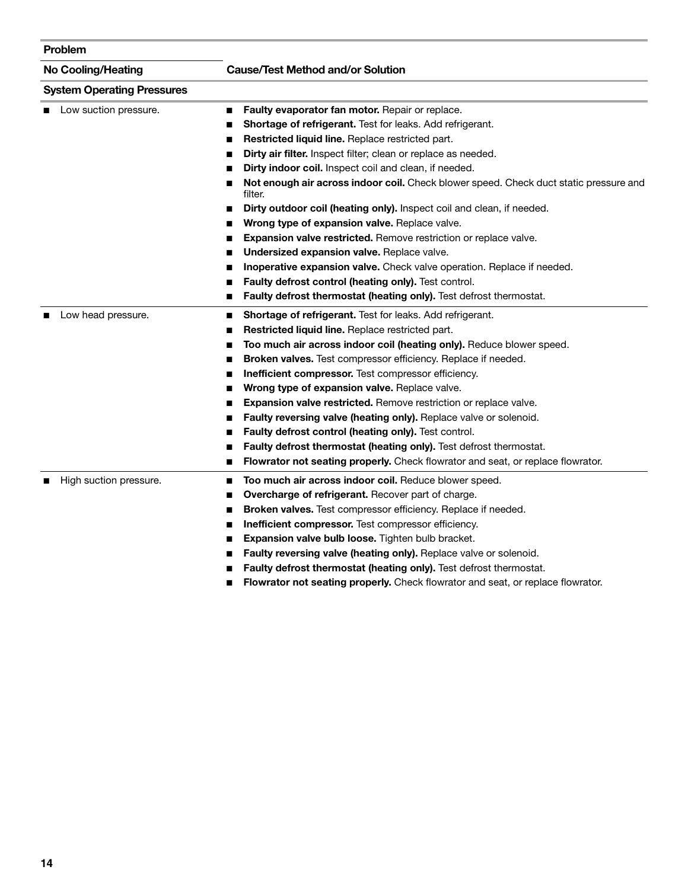| Problem |                                   |                                                                                                       |
|---------|-----------------------------------|-------------------------------------------------------------------------------------------------------|
|         | <b>No Cooling/Heating</b>         | <b>Cause/Test Method and/or Solution</b>                                                              |
|         | <b>System Operating Pressures</b> |                                                                                                       |
|         | Low suction pressure.             | Faulty evaporator fan motor. Repair or replace.<br>■                                                  |
|         |                                   | Shortage of refrigerant. Test for leaks. Add refrigerant.                                             |
|         |                                   | Restricted liquid line. Replace restricted part.                                                      |
|         |                                   | Dirty air filter. Inspect filter; clean or replace as needed.                                         |
|         |                                   | Dirty indoor coil. Inspect coil and clean, if needed.<br>ш                                            |
|         |                                   | Not enough air across indoor coil. Check blower speed. Check duct static pressure and<br>■<br>filter. |
|         |                                   | Dirty outdoor coil (heating only). Inspect coil and clean, if needed.                                 |
|         |                                   | Wrong type of expansion valve. Replace valve.                                                         |
|         |                                   | Expansion valve restricted. Remove restriction or replace valve.                                      |
|         |                                   | Undersized expansion valve. Replace valve.                                                            |
|         |                                   | Inoperative expansion valve. Check valve operation. Replace if needed.                                |
|         |                                   | Faulty defrost control (heating only). Test control.                                                  |
|         |                                   | Faulty defrost thermostat (heating only). Test defrost thermostat.                                    |
|         | Low head pressure.                | Shortage of refrigerant. Test for leaks. Add refrigerant.<br>■                                        |
|         |                                   | Restricted liquid line. Replace restricted part.                                                      |
|         |                                   | Too much air across indoor coil (heating only). Reduce blower speed.                                  |
|         |                                   | Broken valves. Test compressor efficiency. Replace if needed.<br>п                                    |
|         |                                   | Inefficient compressor. Test compressor efficiency.<br>п                                              |
|         |                                   | Wrong type of expansion valve. Replace valve.<br>■                                                    |
|         |                                   | Expansion valve restricted. Remove restriction or replace valve.<br>■                                 |
|         |                                   | Faulty reversing valve (heating only). Replace valve or solenoid.<br>■                                |
|         |                                   | Faulty defrost control (heating only). Test control.<br>■                                             |
|         |                                   | Faulty defrost thermostat (heating only). Test defrost thermostat.<br>ш                               |
|         |                                   | Flowrator not seating properly. Check flowrator and seat, or replace flowrator.<br>■                  |
|         | High suction pressure.            | Too much air across indoor coil. Reduce blower speed.<br>п                                            |
|         |                                   | Overcharge of refrigerant. Recover part of charge.<br>п                                               |
|         |                                   | Broken valves. Test compressor efficiency. Replace if needed.<br>■                                    |
|         |                                   | Inefficient compressor. Test compressor efficiency.<br>■                                              |
|         |                                   | Expansion valve bulb loose. Tighten bulb bracket.                                                     |
|         |                                   | Faulty reversing valve (heating only). Replace valve or solenoid.                                     |
|         |                                   | Faulty defrost thermostat (heating only). Test defrost thermostat.                                    |
|         |                                   |                                                                                                       |

■ **Flowrator not seating properly.** Check flowrator and seat, or replace flowrator.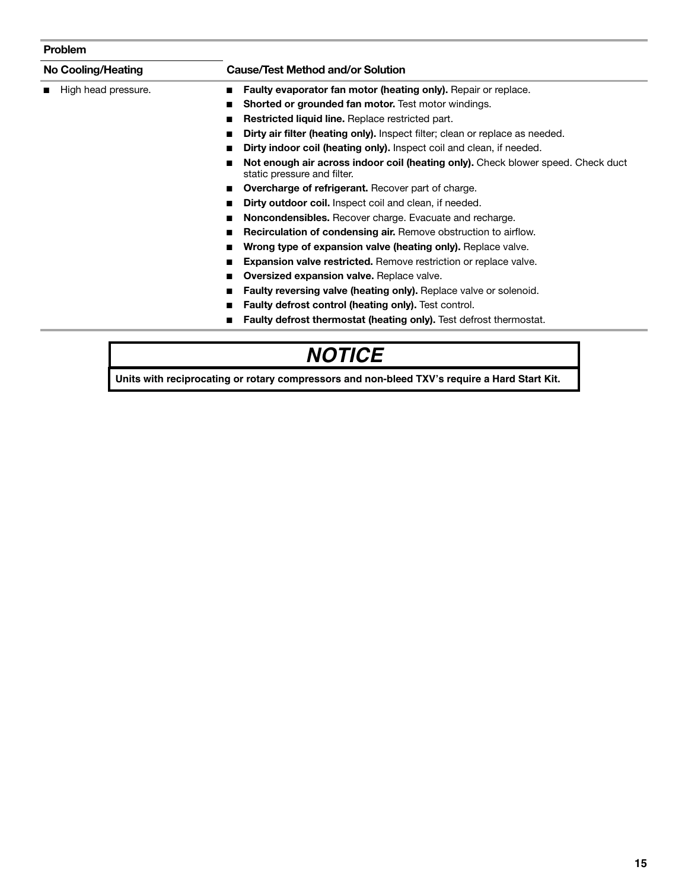#### **Problem**

| <b>No Cooling/Heating</b> | <b>Cause/Test Method and/or Solution</b>                                                                        |
|---------------------------|-----------------------------------------------------------------------------------------------------------------|
| High head pressure.       | Faulty evaporator fan motor (heating only). Repair or replace.<br>■                                             |
|                           | <b>Shorted or grounded fan motor.</b> Test motor windings.<br>■                                                 |
|                           | Restricted liquid line. Replace restricted part.                                                                |
|                           | <b>Dirty air filter (heating only).</b> Inspect filter; clean or replace as needed.<br>■                        |
|                           | Dirty indoor coil (heating only). Inspect coil and clean, if needed.                                            |
|                           | Not enough air across indoor coil (heating only). Check blower speed. Check duct<br>static pressure and filter. |
|                           | <b>Overcharge of refrigerant.</b> Recover part of charge.                                                       |
|                           | <b>Dirty outdoor coil.</b> Inspect coil and clean, if needed.<br>■                                              |
|                           | <b>Noncondensibles.</b> Recover charge. Evacuate and recharge.<br>■                                             |
|                           | <b>Recirculation of condensing air.</b> Remove obstruction to airflow.<br>■                                     |
|                           | Wrong type of expansion valve (heating only). Replace valve.<br>■                                               |
|                           | <b>Expansion valve restricted.</b> Remove restriction or replace valve.                                         |
|                           | <b>Oversized expansion valve.</b> Replace valve.                                                                |
|                           | <b>Faulty reversing valve (heating only).</b> Replace valve or solenoid.                                        |
|                           | <b>Faulty defrost control (heating only).</b> Test control.                                                     |
|                           | <b>Faulty defrost thermostat (heating only).</b> Test defrost thermostat.                                       |

### **COOLS**

**Units with reciprocating or rotary compressors and non-bleed TXV's require a Hard Start Kit.**